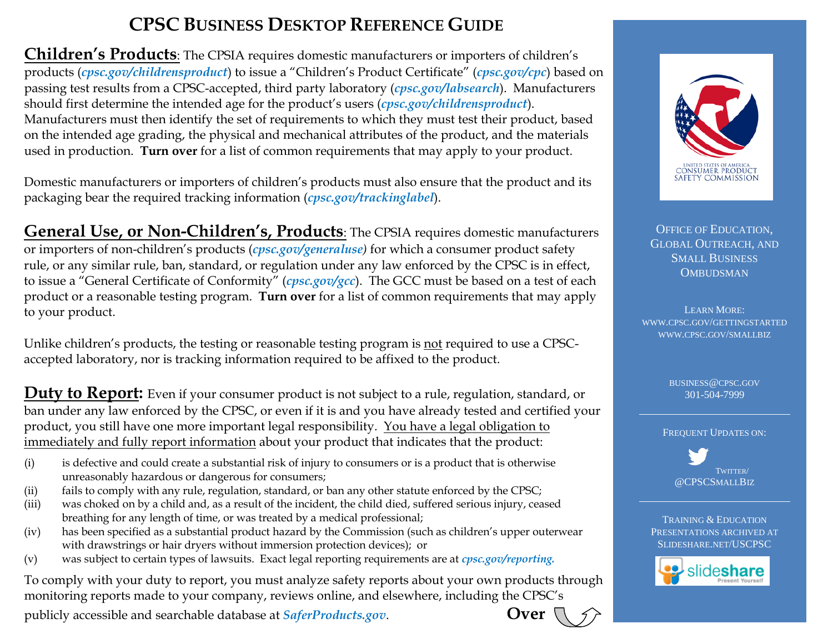## **CPSC BUSINESS DESKTOP REFERENCE GUIDE**

**Children's Products**: The CPSIA requires domestic manufacturers or importers of children's products (*cpsc.gov/childrensproduct*) to issue a "Children's Product Certificate" (*cpsc.gov/cpc*) based on passing test results from a CPSC-accepted, third party laboratory (*[cpsc.gov/labsearch](http://www.cpsc.gov/labsearch)*). Manufacturers should first determine the intended age for the product's users (*cpsc.gov/childrensproduct*). Manufacturers must then identify the set of requirements to which they must test their product, based on the intended age grading, the physical and mechanical attributes of the product, and the materials used in production. **Turn over** for a list of common requirements that may apply to your product.

Domestic manufacturers or importers of children's products must also ensure that the product and its packaging bear the required tracking information (*cpsc.gov/trackinglabel*).

**General Use, or Non-Children's, Products**: The CPSIA requires domestic manufacturers or importers of non-children's products (*cpsc.gov/generaluse)* for which a consumer product safety rule, or any similar rule, ban, standard, or regulation under any law enforced by the CPSC is in effect, to issue a "General Certificate of Conformity" (*cpsc.gov/gcc*). The GCC must be based on a test of each product or a reasonable testing program. **Turn over** for a list of common requirements that may apply to your product.

Unlike children's products, the testing or reasonable testing program is not required to use a CPSCaccepted laboratory, nor is tracking information required to be affixed to the product.

**Duty to Report:** Even if your consumer product is not subject to a rule, regulation, standard, or ban under any law enforced by the CPSC, or even if it is and you have already tested and certified your product, you still have one more important legal responsibility. You have a legal obligation to immediately and fully report information about your product that indicates that the product:

- (i) is defective and could create a substantial risk of injury to consumers or is a product that is otherwise unreasonably hazardous or dangerous for consumers;
- (ii) fails to comply with any rule, regulation, standard, or ban any other statute enforced by the CPSC;
- (iii) was choked on by a child and, as a result of the incident, the child died, suffered serious injury, ceased breathing for any length of time, or was treated by a medical professional;
- (iv) has been specified as a substantial product hazard by the Commission (such as children's upper outerwear with drawstrings or hair dryers without immersion protection devices); or
- (v) was subject to certain types of lawsuits. Exact legal reporting requirements are at *cpsc.gov/reporting.*

To comply with your duty to report, you must analyze safety reports about your own products through monitoring reports made to your company, reviews online, and elsewhere, including the CPSC's

publicly accessible and searchable database at *SaferProducts.gov*. **Over** 





OFFICE OF EDUCATION, GLOBAL OUTREACH, AND SMALL BUSINESS **OMBUDSMAN** 

LEARN MORE: [WWW.CPSC.GOV/GETTINGSTARTED](http://www.cpsc.gov/gettingstarted) [WWW.CPSC.GOV/SMALLBIZ](http://www.cpsc.gov/smallbiz)

> BUSINESS@CPSC.GOV [301-504-7999](mailto:ncohen@cpsc.gov)

FREQUENT UPDATES ON:



TRAINING & EDUCATION PRESENTATIONS ARCHIVED AT SLIDESHARE.NET/USCPSC